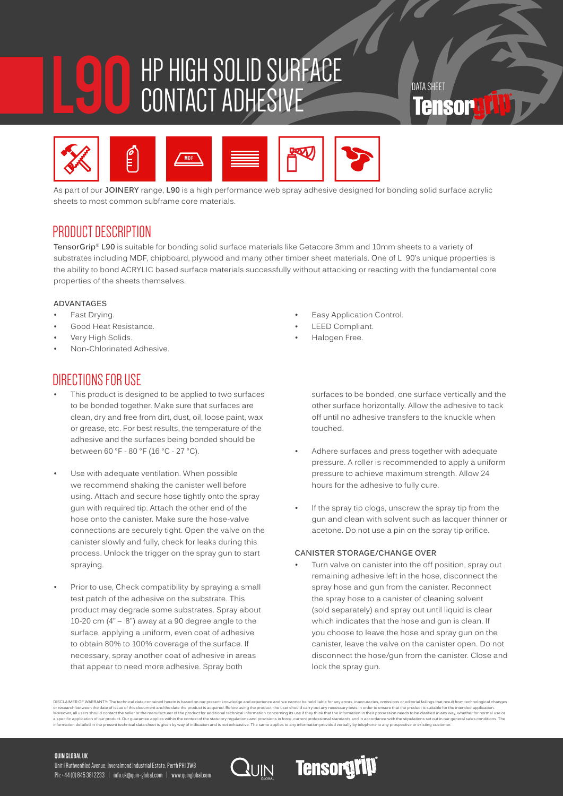# **L90** HP HIGH SOLID SURFACE CONTACT ADHESIVE TERM



As part of our **JOINERY** range, **L90** is a high performance web spray adhesive designed for bonding solid surface acrylic sheets to most common subframe core materials.

## PRODUCT DESCRIPTION

**TensorGrip® L90** is suitable for bonding solid surface materials like Getacore 3mm and 10mm sheets to a variety of substrates including MDF, chipboard, plywood and many other timber sheet materials. One of L 90's unique properties is the ability to bond ACRYLIC based surface materials successfully without attacking or reacting with the fundamental core properties of the sheets themselves.

#### **ADVANTAGES**

- Fast Drying.
- Good Heat Resistance.
- Very High Solids.
- Non-Chlorinated Adhesive.

## DIRECTIONS FOR USE

- This product is designed to be applied to two surfaces to be bonded together. Make sure that surfaces are clean, dry and free from dirt, dust, oil, loose paint, wax or grease, etc. For best results, the temperature of the adhesive and the surfaces being bonded should be between 60 °F - 80 °F (16 °C - 27 °C).
- Use with adequate ventilation. When possible we recommend shaking the canister well before using. Attach and secure hose tightly onto the spray gun with required tip. Attach the other end of the hose onto the canister. Make sure the hose-valve connections are securely tight. Open the valve on the canister slowly and fully, check for leaks during this process. Unlock the trigger on the spray gun to start spraying.
- Prior to use, Check compatibility by spraying a small test patch of the adhesive on the substrate. This product may degrade some substrates. Spray about 10-20 cm (4" – 8") away at a 90 degree angle to the surface, applying a uniform, even coat of adhesive to obtain 80% to 100% coverage of the surface. If necessary, spray another coat of adhesive in areas that appear to need more adhesive. Spray both

Easy Application Control.

- **LEED Compliant.**
- Halogen Free.

surfaces to be bonded, one surface vertically and the other surface horizontally. Allow the adhesive to tack off until no adhesive transfers to the knuckle when touched.

- Adhere surfaces and press together with adequate pressure. A roller is recommended to apply a uniform pressure to achieve maximum strength. Allow 24 hours for the adhesive to fully cure.
- If the spray tip clogs, unscrew the spray tip from the gun and clean with solvent such as lacquer thinner or acetone. Do not use a pin on the spray tip orifice.

#### **CANISTER STORAGE/CHANGE OVER**

Turn valve on canister into the off position, spray out remaining adhesive left in the hose, disconnect the spray hose and gun from the canister. Reconnect the spray hose to a canister of cleaning solvent (sold separately) and spray out until liquid is clear which indicates that the hose and gun is clean. If you choose to leave the hose and spray gun on the canister, leave the valve on the canister open. Do not disconnect the hose/gun from the canister. Close and lock the spray gun.

DISCLAIMER OF WARRANTY. The technical data contained herein is based on our present knowledge and experience and we cannot be held lable for any erros, incorder to ensure that me product is suitable for the intended applic

**Tensorgrip** 

#### **QUIN GLOBAL UK**